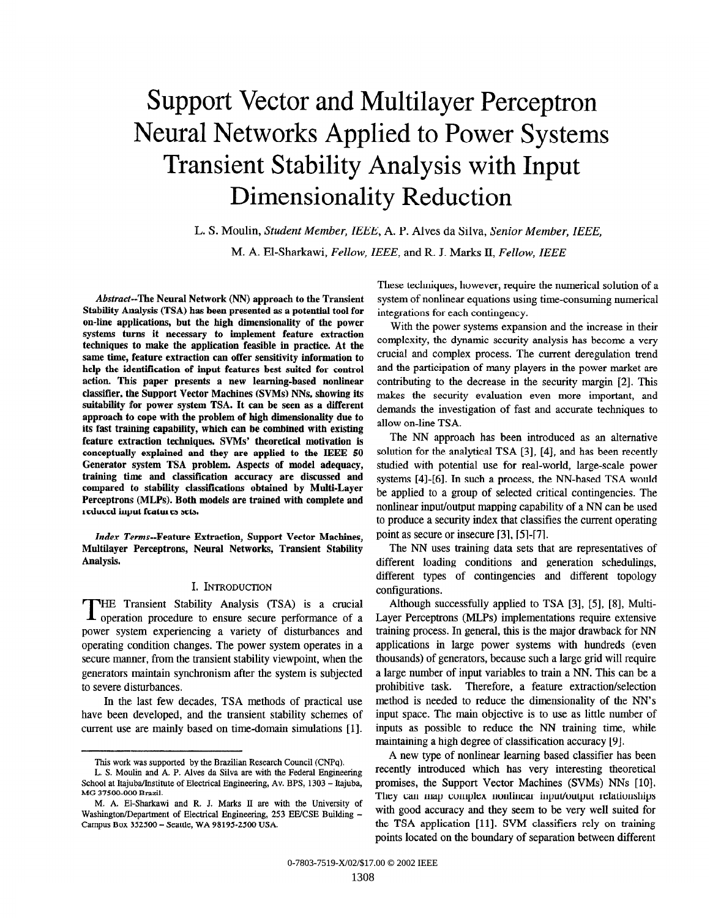# Support Vector and Multilayer Perceptron Neural Networks Applied to Power Systems Transient Stability Analysis with Input Dimensionality Reduction

L. S. Moulin, Student Member, IEEE, A. P. Alves da Silva, Senior Member, IEEE, M. A. El-Sharkawi, Fellow, IEEE, and R. J. Marks II, Fellow, IEEE

Abstract--The Neural Network (NN) approach to the Transient Stability Analysis (TSA) has been presented as a potential tool for on-line applications, but the high dimensionality of the power systems turns it necessary to implement feature extraction techniques to make the application feasible in practice. At the same time, feature extraction can offer sensitivity information to help the identification of input features best suited for control action. This paper presents a new learning-based nonlinear classifier, the Support Vector Machines (SVMs) NNs, showing its suitability for power system TSA. It can be seen as a different approach fo cope with the problem of high dimensionality due to its fast training capability, which can be combined with existing feature extraction techniques. SVMs' theoretical motivation is conceptually explained and they are applied to the IEEE 50 Generator system TSA problem. Aspects of model adequacy, training time and classification accuracy are discussed and compared to stability classifications obtained by Multi-Layer Perceptrons (MLPs). Both models are trained with complete and reduced input features sets.

Index Terms--Feature Extraction, Support Vector Machines, Multilayer Perceptrons, Neural Networks, Transient Stability Analysis.

#### I. INTRODUCTION

THE Transient Stability Analysis (TSA) is a crucial operation procedure to ensure secure performance of a power system experiencing a variety of disturbances and operating condition changes. The power system operates in a secure manner, from the transient stability viewpoint, when the generators maintain synchronism after the system is subjected to severe disturbances.

In the last few decades, TSA methods of practical use have been developed, and the transient stability schemes of current use are mainly based on time-domain simulations [1]. These techniques, however, require the numerical solution of a system of nonlinear equations using time-consuming numerical integrations for each contingency.

With the power systems expansion and the increase in their complexity, the dynamic security analysis has become a very crucial and complex process. The current deregulation trend and the participation of many players in the power market are contributing to the decrease in the security margin [2]. This makes the security evaluation even more important, and demands the investigation of fast and accurate techniques to allow on-line TSA.

The NN approach has been introduced as an alternative solution for the analytical TSA [3], [4], and has been recently studied with potential use for real-world, large-scale power systems [4]-[6]. In such a process, the NN-based TSA would be applied to a group of selected critical contingencies. The nonlinear input/output mapping capability of a NN can be used to produce a security index that classifies the current operating point as secure or insecure [3], [5]-[7].

The NN uses training data sets that are representatives of different loading conditions and generation schedulings, different types of contingencies and different topology configurations.

Although successfully applied to TSA [3], [5], [8], Multi-Layer Perceptrons (MLPs) implementations require extensive training process. In general, this is the major drawback for NN applications in large power systems with hundreds (even thousands) of generators, because such a large grid will require a large number of input variables to train a NN. This can be a prohibitive task. Therefore, a feature extraction/selection method is needed to reduce the dimensionality of the NN's input space. The main objective is to use as little number of inputs as possible to reduce the NN training time, while maintaining a high degree of classification accuracy [9].

A new type of nonlinear learning based classifier has been recently introduced which has very interesting theoretical promises, the Support Vector Machines (SVMs) NNs [10]. They can map complex nonlinear input/output relationships with good accuracy and they seem to be very well suited for the TSA application [11]. SVM classifiers rely on training points located on the boundary of separation between different

This work was supported by the Brazilian Research Council (CNPq).

L. S. Moulin and A. P. Alves da Silva are with the Federal Engineering School at Itajuba/Institute of Electrical Engineering, Av. BPS, 1303 - Itajuba, MG37500-OOOBrazil.

M. A. El-Sharkawi and R. J. Marks II are with the University of Washington/Department of Electrical Engineering, 253 EE/CSE Building -Campus Box 352500 - Seattle, WA 98195-2500 USA.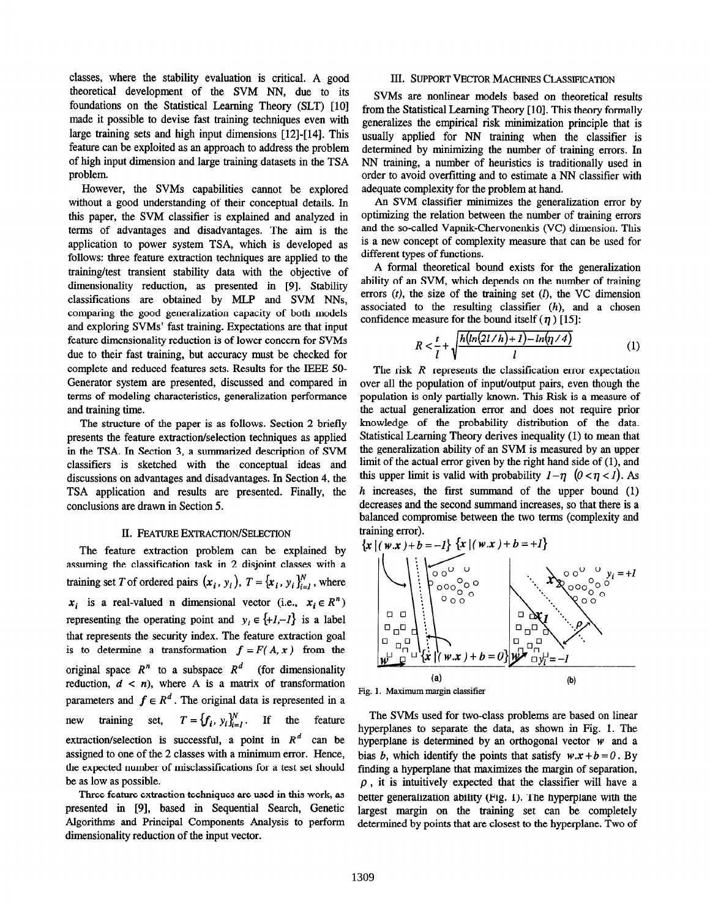classes, where the stability evaluation is critical. A good theoretical development of the SVM NN, due to its foundations on the Statistical Learning Theory (SLT) [10] made it possible to devise fast training techniques even with large training sets and high input dimensions [12]-[14]. This feature can be exploited as an approach to address the problem of high input dimension and large training datasets in the TSA problem.

However, the SVMs capabilities cannot be explored without a good understanding of their conceptual details. In this paper, the SVM classifier is explained and analyzed in terms of advantages and disadvantages. The aim is the application to power system TSA, which is developed as follows: three feature extraction techniques are applied to the training/test transient stability data with the objective of dimensionality reduction, as presented in [9]. Stability classifications are obtained by MLP and SVM NNs, comparing the good generalization capacity of both models and exploring SVMs' fast training. Expectations are that input feature dimensionality reduction is of lower concern for SVMs due to their fast training, but accuracy must be checked for complete and reduced features sets. Results for the IEEE 50- Generator system are presented, discussed and compared in terms of modeling characteristics, generalization performance and training time.

The structure of the paper is as follows. Section 2 briefly presents the feature extraction/selection techniques as applied in the TSA. In Section 3, a summarized description of SVM classifiers is sketched with the conceptual ideas and discussions on advantages and disadvantages. In Section 4, the TSA application and results are presented. Finally, the conclusions are drawn in Section 5.

## II. FEATURE EXTRACTION/SELECTION

The feature extraction problem can be explained by assuming the classification task in 2 disjoint classes with a training set T of ordered pairs  $(x_i, y_i)$ ,  $T = {x_i, y_i}_{i=1}^N$ , where  $x_i$  is a real-valued n dimensional vector (i.e.,  $x_i \in R^n$ ) representing the operating point and  $y_i \in \{+1,-1\}$  is a label that represents the security index. The feature extraction goal is to determine a transformation  $f = F(A, x)$  from the original space  $R^n$  to a subspace  $R^d$  (for dimensionality reduction,  $d < n$ ), where A is a matrix of transformation parameters and  $f \in R^d$ . The original data is represented in a new training set,  $T = \{f_i, y_i\}_{i=1}^N$ . If the feature extraction/selection is successful, a point in  $R^d$  can be assigned to one of the 2 classes with a minimum error. Hence, the expected number of misclassifications for a test set should be as low as possible.

Three feature extraction techniques are used in this work, as presented in [9], based in Sequential Search, Genetic Algorithms and Principal Components Analysis to perform dimensionality reduction of the input vector.

### III. SUPPORT VECTOR MACHINES CLASSIFICATION

SVMs are nonlinear models based on theoretical results from the Statistical Learning Theory [10]. This theory formally generalizes the empirical risk minimization principle that is usually applied for NN training when the classifier is determined by minimizing the number of training errors. In NN training, a number of heuristics is traditionally used in order to avoid overfitting and to estimate a NN classifier with adequate complexity for the problem at hand.

An SVM classifier minimizes the generalization error by optimizing the relation between the number of training errors and the so-called Vapnik-Chervonenkis (VC) dimension. This is a new concept of complexity measure that can be used for different types of functions.

A formal theoretical bound exists for the generalization ability of an SVM, which depends on the number of training errors  $(t)$ , the size of the training set  $(l)$ , the VC dimension associated to the resulting classifier  $(h)$ , and a chosen confidence measure for the bound itself  $(\eta)$  [15]:

$$
R < \frac{t}{l} + \sqrt{\frac{h\left(\ln\left(2l/h\right) + 1\right) - \ln\left(\frac{\eta}{4}\right)}{l}}\tag{1}
$$

The risk  $R$  represents the classification error expectation over all the population of input/output pairs, even though the population is only partially known. This Risk is a measure of the actual generalization error and does not require prior knowledge of the probability distribution of the data. Statistical Learning Theory derives inequality (1) to mean that the generalization ability of an SVM is measured by an upper limit of the actual error given by the right hand side of (l), and this upper limit is valid with probability  $1-\eta$   $(0 < \eta < 1)$ . As  $h$  increases, the first summand of the upper bound  $(1)$ decreases and the second summand increases, so that there is a balanced compromise between the two terms (complexity and training error).



The SVMs used for two-class problems are based on linear hyperplanes to separate the data, as shown in Fig. 1. The hyperplane is determined by an orthogonal vector  $w$  and a bias b, which identify the points that satisfy  $w.x + b = 0$ . By fmding a hyperplane that maximizes the margin of separation,  $\rho$ , it is intuitively expected that the classifier will have a better generalization ability (Fig. 1). The hyperplane with the largest margin on the training set can be completely determined by points that are closest to the hyperplane. Two of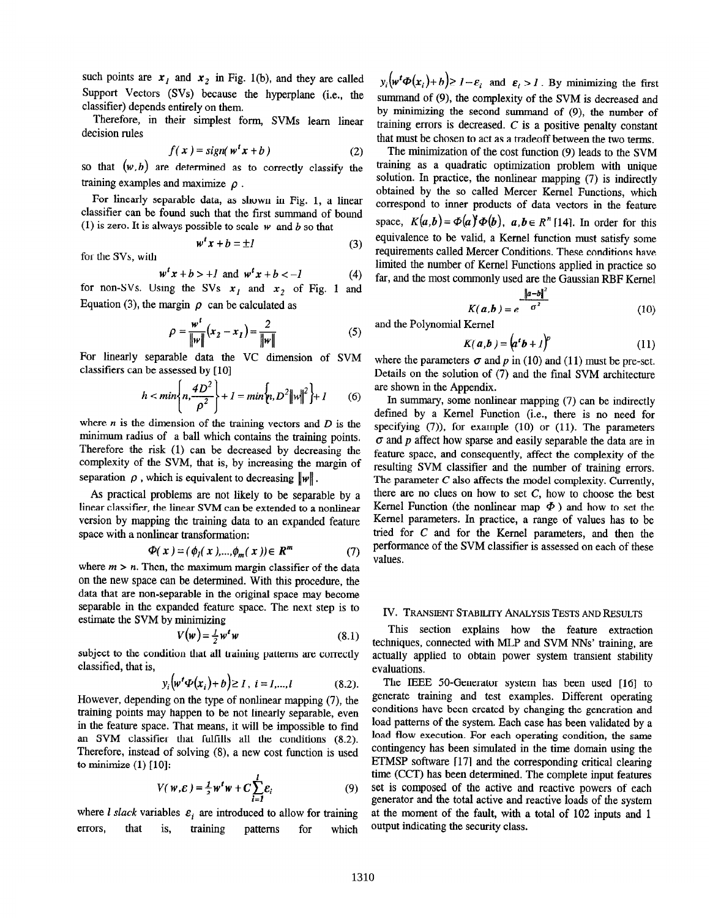such points are  $x_1$  and  $x_2$  in Fig. 1(b), and they are called Support Vectors (SVs) because the hyperplane (i.e., the classifier) depends entirely on them.

Therefore, in their simplest form, SVMs learn linear decision rules

$$
f(x) = sign(w^t x + b)
$$
 (2)

so that  $(w, b)$  are determined as to correctly classify the training examples and maximize  $\rho$ .

For linearly separable data, as shown in Fig. 1, a linear classifier can be found such that the first summand of bound (1) is zero. It is always possible to scale w and b so that

$$
w^t x + b = \pm 1 \tag{3}
$$

for the SVs, with

$$
wtx + b > +l \text{ and } wtx + b < -l
$$
 (4)

for non-SVs. Using the SVs  $x_i$  and  $x_2$  of Fig. 1 and Equation (3), the margin  $\rho$  can be calculated as

$$
\rho = \frac{w^{t}}{\|w\|}(x_2 - x_1) = \frac{2}{\|w\|} \tag{5}
$$

For linearly separable data the VC dimension of SVM classifiers can be assessed by [10]

$$
h < min\left\{n, \frac{4D^2}{\rho^2}\right\} + 1 = min\left\{n, D^2 ||w||^2\right\} + 1
$$
 (6)

where  $n$  is the dimension of the training vectors and  $D$  is the minimum radius of a ball which contains the training points. Therefore the risk (1) can be decreased by decreasing the complexity of the SVM, that is, by increasing the margin of separation  $\rho$ , which is equivalent to decreasing  $\|\mathbf{w}\|$ .

As practical problems are not likely to be separable by a linear classifier, the linear SVM can be extended to a nonlinear version by mapping the training data to an expanded feature space with a nonlinear transformation:

$$
\Phi(x) = (\phi_1(x), \dots, \phi_m(x)) \in R^m \tag{7}
$$

where  $m > n$ . Then, the maximum margin classifier of the data on the new space can be determined. With this procedure, the data that are non-separable in the original space may become separable in the expanded feature space. The next step is to estimate the SVM by minimizing

$$
V(\mathbf{w}) = \frac{1}{2} w^t w \tag{8.1}
$$

subject to the condition that all training patterns are correctly classified, that is,

$$
y_i(w^t \Phi(x_i) + b) \ge 1, i = 1,...,l
$$
 (8.2).

However, depending on the type of nonlinear mapping (7), the training points may happen to be not linearly separable, even in the feature space. That means, it will be impossible to find an SVM classifier that fulfills all the conditions (8.2). Therefore, instead of solving (8), a new cost function is used to minimize  $(1)$  [10]:

$$
V(w,\varepsilon) = \frac{1}{2}w^tw + C\sum_{i=1}^{l}\varepsilon_i
$$
 (9)

where *l* slack variables  $\varepsilon_i$  are introduced to allow for training errors, that is, training patterns for which

 $y_i(w^t \Phi(x_i)+b)\geq 1-\epsilon_i$  and  $\epsilon_i > 1$ . By minimizing the first summand of (9), the complexity of the SVM is decreased and by minimizing the second summand of  $(9)$ , the number of training errors is decreased. C is a positive penalty constant that must be chosen to act as a tradeoff between the two terms.

The minimization of the cost function (9) leads to the SVM training as a quadratic optimization problem with unique solution. In practice, the nonlinear mapping (7) is indirectly obtained by the so called Mercer Kernel Functions, which correspond to inner products of data vectors in the feature space,  $K(a,b) = \Phi(a)^{t} \Phi(b)$ ,  $a,b \in R^{n}$  [14]. In order for this equivalence to be valid, a Kernel function must satisfy some requirements called Mercer Conditions. These conditions have limited the number of Kernel Functions applied in practice so far, and the most commonly used are the Gaussian RBF Kernel

$$
K(a,b) = e^{\frac{\left\|a-b\right\|^2}{\sigma^2}}
$$
 (10)

and the Polynomial Kernel

$$
K(a,b) = (atb + 1)p
$$
 (11)

where the parameters  $\sigma$  and p in (10) and (11) must be pre-set. Details on the solution of (7) and the final SVM architecture are shown in the Appendix.

In summary, some nonlinear mapping (7) can be indirectly defined by a Kernel Function (i.e., there is no need for specifying (7)), for example (10) or (11). The parameters  $\sigma$  and  $p$  affect how sparse and easily separable the data are in feature space, and consequently, affect the complexity of the resulting SVM classifier and the number of training errors. The parameter C also affects the model complexity. Currently, there are no clues on how to set C, how to choose the best Kernel Function (the nonlinear map  $\Phi$ ) and how to set the Kernel parameters. In practice, a range of values has to be tried for C and for the Kernel parameters, and then the performance of the SVM classifier is assessed on each of these values.

### IV. TRANSIENT STABILITY ANALYSIS TESTS AND RESULTS

This section explains how the feature extraction techniques, connected with MLP and SVM NNs' training, are actually applied to obtain power system transient stability evaluations.

The IEEE 50-Generator system has been used [16] to generate training and test examples. Different operating conditions have been created by changing the generation and load patterns of the system. Each case has been validated by a load flow execution. For each operating condition, the same contingency has been simulated in the time domain using the ETMSP software 1171 and the corresponding critical clearing time (CCT) has been determined. The complete input features set is composed of the active and reactive powers of each generator and the total active and reactive loads of the system at the moment of the fault, with a total of 102 inputs and 1 output indicating the security class.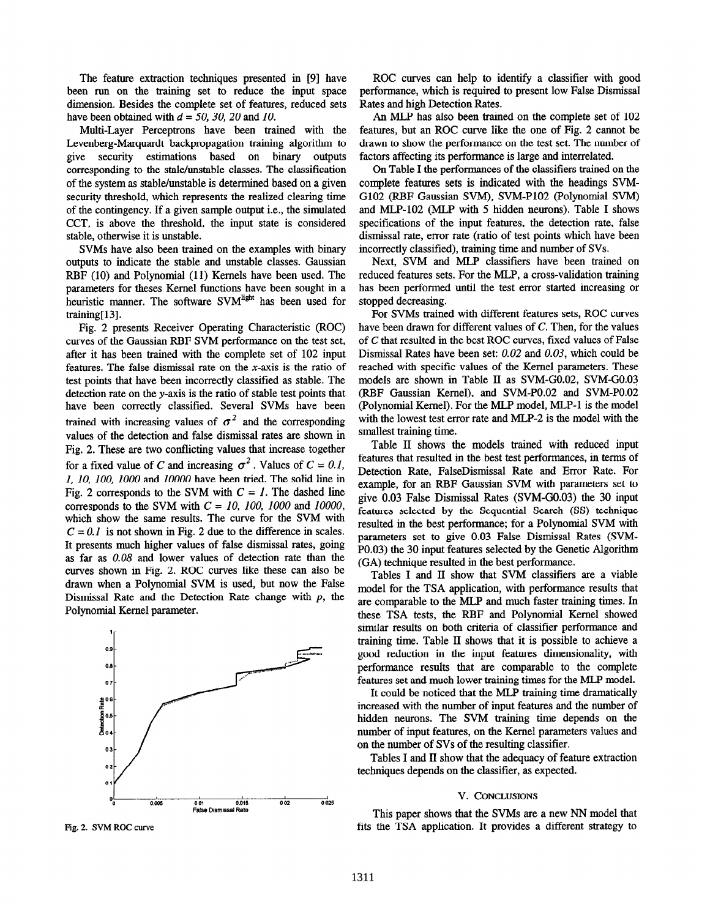The feature extraction techniques presented in [9] have been run on the training set to reduce the input space dimension. Besides the complete set of features, reduced sets have been obtained with  $d = 50$ , 30, 20 and 10.

Multi-Layer Perceptrons have been trained with the Levenberg-Marquardt backpropagation training algorithm to give security estimations based on binary outputs corresponding to the stale/unstable classes. The classification of the system as stable/unstable is determined based on a given security threshold, which represents the realized clearing time of the contingency. If a given sample output i.e., the simulated CCT, is above the threshold, the input state is considered stable, otherwise it is unstable.

SVMs have also been trained on the examples with binary outputs to indicate the stable and unstable classes. Gaussian RBF (10) and Polynomial (11) Kernels have been used. The parameters for theses Kernel functions have been sought in a heuristic manner. The software SVM<sup>light</sup> has been used for training[ 131.

Fig. 2 presents Receiver Operating Characteristic (ROC) curves of the Gaussian RBF SVM performance on the test set, after it has been trained with the complete set of 102 input features. The false dismissal rate on the x-axis is the ratio of test points that have been incorrectly classified as stable. The detection rate on the y-axis is the ratio of stable test points that have been correctly classified. Several SVMs have been trained with increasing values of  $\sigma^2$  and the corresponding values of the detection and false dismissal rates are shown in Fig. 2. These are two conflicting values that increase together for a fixed value of C and increasing  $\sigma^2$ . Values of  $C = 0.1$ , I, IO, 100, IO00 and 10000 have been tried. The solid line in Fig. 2 corresponds to the SVM with  $C = 1$ . The dashed line corresponds to the SVM with  $C = 10$ , 100, 1000 and 10000. which show the same results. The curve for the SVM with  $C = 0.1$  is not shown in Fig. 2 due to the difference in scales. It presents much higher values of false dismissal rates, going as far as 0.08 and lower values of detection rate than the curves shown in Fig. 2. ROC curves like these can also be drawn when a Polynomial SVM is used, but now the False Dismissal Rate and the Detection Rate change with  $p$ , the Polynomial Kernel parameter.



ROC curves can help to identify a classifier with good performance, which is required to present low False Dismissal Rates and high Detection Rates.

An MLP has also been trained on the complete set of 102 features, but an ROC curve like the one of Fig. 2 cannot be drawn to show the performance on the test set. The number of factors affecting its performance is large and interrelated.

On Table I the performances of the classifiers trained on the complete features sets is indicated with the headings SVM-G102 (RBF Gaussian SVM), SVM-P102 (Polynomial SVM) and MLP-102 (MLP with 5 hidden neurons). Table I shows specifications of the input features, the detection rate, false dismissal rate, error rate (ratio of test points which have been incorrectly classified), training time and number of SVs.

Next, SVM and MLP classifiers have been trained on reduced features sets. For the MLP, a cross-validation training has been performed until the test error started increasing or stopped decreasing.

For SVMs trained with different features sets, ROC curves have been drawn for different values of C. Then, for the values of C that resulted in the best ROC curves, fixed values of False Dismissal Rates have been set: 0.02 and 0.03, which could be reached with specific values of the Kernel parameters. These models are shown in Table II as SVM-GO.02, SVM-GO.03 (RBF Gaussian Kernel), and SVM-PO.02 and SVM-PO.02 (Polynomial Kernel). For the MLP model, MLP-1 is the model with the lowest test error rate and MLP-2 is the model with the smallest training time.

Table II shows the models trained with reduced input features that resulted in the best test performances, in terms of Detection Rate, FalseDismissal Rate and Error Rate. For example, for an RBF Gaussian SVM with parameters set to give 0.03 False Dismissal Rates (SVM-GO.03) the 30 input features selected by the Sequential Search (SS) technique resulted in the best performance; for a Polynomial SVM with parameters set to give 0.03 False Dismissal Rates (SVM-PO.03) the 30 input features selected by the Genetic Algorithm (GA) technique resulted in the best performance.

Tables I and II show that SVM classifiers are a viable model for the TSA application, with performance results that are comparable to the MLP and much faster training times. In these TSA tests, the RBF and Polynomial Kernel showed similar results on both criteria of classifier performance and training time. Table II shows that it is possible to achieve a good reduction in the input features dimensionality, with performance results that are comparable to the complete features set and much lower training times for the MLP model.

It could be noticed that the MLP training time dramatically increased with the number of input features and the number of hidden neurons. The SVM training time depends on the number of input features, on the Kernel parameters values and on the number of SVs of the resulting classifier.

Tables I and II show that the adequacy of feature extraction techniques depends on the classifier, as expected.

### V. CONCLUSIONS

This paper shows that the SVMs are a new NN model that Fig. 2. SVM ROC curve fits the TSA application. It provides a different strategy to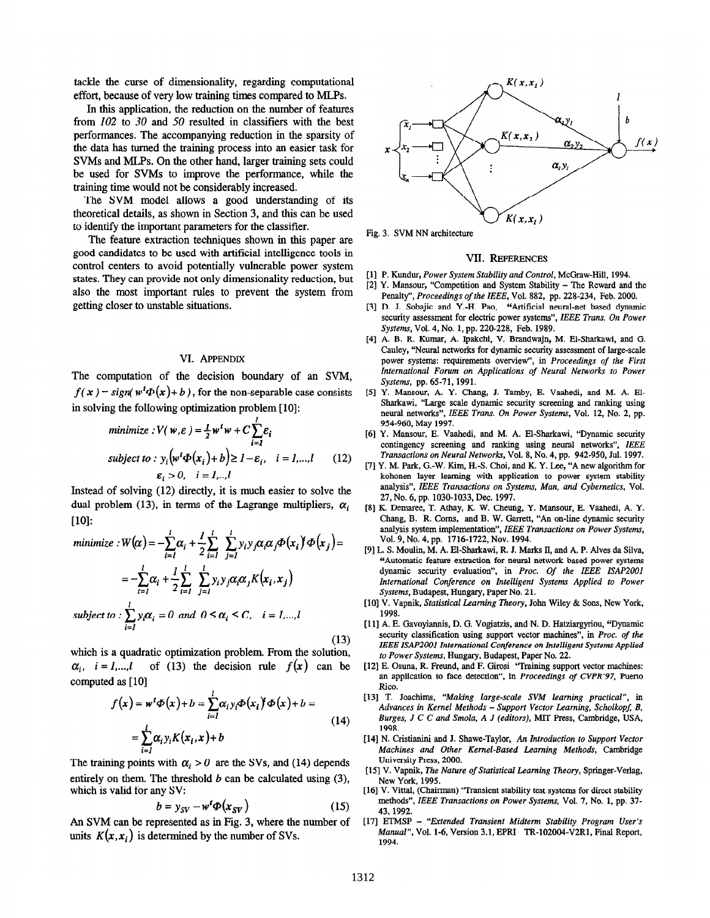tackle the curse of dimensionality, regarding computational effort, because of very low training times compared to MLPs.

In this application, the reduction on the number of features from 102 to 30 and 50 resulted in classifiers with the best performances. The accompanying reduction in the sparsity of the data has turned the training process into an easier task for SVMs and MLPs. On the other hand, larger training sets could be used for SVMs to improve the performance, while the training time would not be considerably increased.

The SVM model allows a good understanding of its theoretical details, as shown in Section 3, and this can be used to identify the important parameters for the classifier.

The feature extraction techniques shown in this paper are good candidates to be used with artificial intelligence tools in control centers to avoid potentially vulnerable power system states. They can provide not only dimensionality reduction, but also the most important rules to prevent the system from getting closer to unstable situations.

#### VI. APPENDIX

The computation of the decision boundary of an SVM,  $f(x) = sign(w^{t} \Phi(x)+b)$ , for the non-separable case consists in solving the following optimization problem [10]:

minimize: 
$$
V(w, \varepsilon) = \frac{1}{2} w^t w + C \sum_{i=1}^{\infty} \varepsilon_i
$$
  
subject to:  $y_i (w^t \Phi(x_i) + b) \ge 1 - \varepsilon_i$ ,  $i = 1,...,l$  (12)  
 $\varepsilon_i > 0$ ,  $i = 1,...$ 

Instead of solving (12) directly, it is much easier to solve the dual problem (13), in terms of the Lagrange multipliers,  $\alpha_i$  $[10]$ :

minimize: 
$$
W(\alpha) = -\sum_{i=1}^{l} \alpha_i + \frac{1}{2} \sum_{i=1}^{l} \sum_{j=1}^{l} y_i y_j \alpha_i \alpha_j \Phi(x_i)^{\dagger} \Phi(x_j) =
$$
  
\n
$$
= -\sum_{i=1}^{l} \alpha_i + \frac{1}{2} \sum_{i=1}^{l} \sum_{j=1}^{l} y_i y_j \alpha_i \alpha_j K(x_i, x_j)
$$
\n
$$
subject to: \sum_{i=1}^{l} y_i \alpha_i = 0 \text{ and } 0 \leq \alpha_i \leq C, \quad i = l,...,l
$$
\n
$$
(13)
$$
\n
$$
(13)
$$
\n
$$
(13)
$$
\n
$$
(13)
$$
\n
$$
(14)
$$
\n
$$
(15)
$$
\n
$$
(16)
$$
\n
$$
Solving this, Statistical
$$
\n
$$
Solving this, Statistical
$$
\n
$$
Solving this, Gaussian, E
$$
\n
$$
Solving this, Gaussian, E
$$
\n
$$
Solving this, Gaussian, E
$$
\n
$$
Solving this, Gaussian, E
$$
\n
$$
Solving this, Gaussian, E
$$
\n
$$
Solving this, Gaussian, E
$$
\n
$$
Solving this, Gaussian, E
$$
\n
$$
Solving this, Gaussian, E
$$
\n
$$
Solving this, Gaussian, E
$$
\n
$$
Solving this, Gaussian, E
$$
\n
$$
Solving this, Gaussian, E
$$
\n
$$
Solving this, Gaussian, E
$$
\n
$$
Solving this, Gaussian, E
$$
\n
$$
Solving this, Gaussian, E
$$
\n
$$
Solving this, Gaussian, E
$$
\n
$$
Solving this, Gaussian, E
$$
\n
$$
Solving this, Gaussian, E
$$
\n
$$
Solving this, Gaussian, E
$$
\n
$$
Solving this, Gaussian, E
$$

which is a quadratic optimization problem. From the solution,  $\alpha_i$ ,  $i = 1,...,l$  of (13) the decision rule  $f(x)$  can be computed as [10]

$$
f(x) = wt \Phi(x) + b = \sum_{i=1}^{t} \alpha_i y_i \Phi(x_i)^t \Phi(x) + b =
$$
  
= 
$$
\sum_{i=1}^{t} \alpha_i y_i K(x_i, x) + b
$$
 (14)

The training points with  $\alpha_i > 0$  are the SVs, and (14) depends entirely on them. The threshold  $b$  can be calculated using  $(3)$ , which is valid for any SV:

$$
b = y_{SV} - w^t \Phi(x_{SV})
$$
 (15)

An SVM can be represented as in Fig. 3, where the number of units  $K(x, x_i)$  is determined by the number of SVs.



Fig. 3. SVM NN architecture

#### VII. REFERENCES

- [II P. Kundur, Power System Stability and Control, McGraw-Hill, 1994.
- I21 Y. Mansour, "Competition and System Stability The Reward and the Penalty", Proceedings of the IEEE, Vol. 882, pp. 228-234, Feb. 2000.
- [31 D. J. Sobajic and Y.-H. Pao, "Artificial neural-net based dynamic security assessment for electric power systems", IEEE Trans. On Power Systems, Vol. 4, No. 1, pp. 220-228, Feb. 1989.
- [41 A. B. R. Kumar, A. Ipakchi, V. Brandwajn, M. El-Sharkawi, and G. Cauley, "Neural networks for dynamic security assessment of large-scale power systems: requirements overview", in Proceedings of the First International Forum on Applications of Neural Networks to Power Systems, pp. 65-71,199l.
- [51 Y. Mansour, A. Y. Chang, J. Tamby, E. Vaahedi, and M. A. El-Sharkawi, "Large scale dynamic security screening and ranking using neural networks", IEEE Trans. On Power Systems, Vol. 12, No. 2, pp. 954-960, May 1997.
- [6] Y. Mansour, E. Vaahedi, and M. A. El-Sharkawi, "Dynamic security contingency screening and ranking using neural networks", IEEE Transactions on Neural Networks, Vol. 8, No. 4, pp. 942-950, Jul. 1997.
- [7] Y. M. Park, G.-W. Kim, H.-S. Choi, and K. Y. Lee, "A new algorithm for kohonen layer learning with application to power system stability analysis", IEEE Transactions on Systems, Man, and Cybernetics, Vol. 27, No. 6, pp. 1030-1033, Dec. 1997.
- [8] K. Demaree, T. Athay, K W. Cheung, Y. Mansour, E. Vaahedi, A. Y. Chang, B. R. Corns, and B. W. Garrett, "An on-line dynamic security analysis system implementation", IEEE Transactions on Power Systems, Vol. 9, No. 4, pp. 1716-1722, Nov. 1994.
- [9] L. S. Moulin, M. A. El-Sharkawi, R. J. Marks II, and A. P. Alves da Silva, "Automatic feature extraction for neural network based power systems dynamic security evaluation", in Proc. Of the IEEE ISAP2001 International Conference on Intelligent Systems Applied to Power Systems, Budapest, Hungary, Paper No. 21.
- [10] V. Vapnik, Statistical Learning Theory, John Wiley & Sons, New York, 1998.
- [11] A. E. Gavoyiannis, D. G. Vogiatzis, and N. D. Hatziargyriou, "Dynamic security classification using support vector machines", in Proc. of the IEEE ISAP2001 International Conference on Intelligent Systems Applied to Power Systems, Hungary, Budapest, Paper No. 22.
- [12] E. Osuna, R. Freund, and F. Girosi 'Training support vector machines: an application to face detection", in Proceedings of CVPR'97, Puerto Rico.
- [13] T. Joachims, "Making large-scale SVM learning practical", in Advances in Kernel Methods -- Support Vector Learning, Scholkopf, B, Burges, J C C and Smola, A J (editors), MIT Press, Cambridge, USA, 1998.
- [14] N. Cristianini and J. Shawe-Taylor, An Introduction to Support Vector Machines and Other Kernel-Based Learning Methods, Cambridge University Press, 2000.
- [15] V. Vapnik, The Nature of Statistical Learning Theory, Springer-Verlag, New York, 1995.
- [16] V. Vittal, (Chairman) "Transient stability test systems for direct stability methods", IEEE Transactions on Power Systems, Vol. 7, No. 1, pp. 37-43,1992.
- [17] ETMSP "Extended Transient Midterm Stability Program User's Manual", Vol. 1-6, Version 3.1, EPRI TR-102004-V2R1, Final Report, 1994.